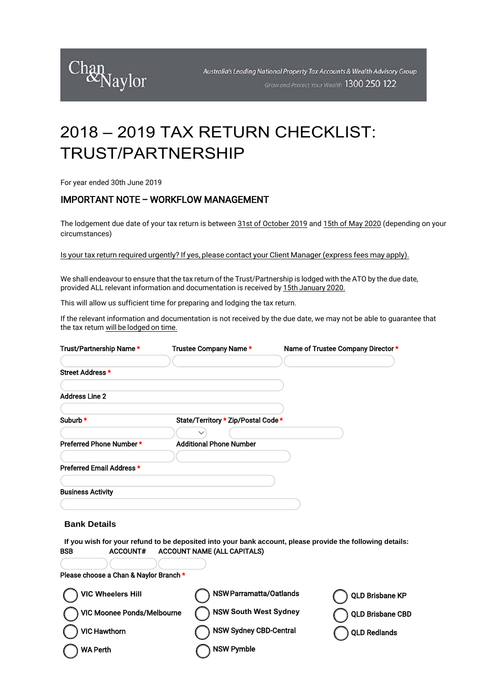

## 2018 – 2019 TAX RETURN CHECKLIST: TRUST/PARTNERSHIP

For year ended 30th June 2019

### IMPORTANT NOTE – WORKFLOW MANAGEMENT

The lodgement due date of your tax return is between 31st of October 2019 and 15th of May 2020 (depending on your circumstances)

Is your tax return required urgently? If yes, please contact your Client Manager (express fees may apply).

We shall endeavour to ensure that the tax return of the Trust/Partnership is lodged with the ATO by the due date, provided ALL relevant information and documentation is received by 15th January 2020.

This will allow us sufficient time for preparing and lodging the tax return.

If the relevant information and documentation is not received by the due date, we may not be able to guarantee that the tax return will be lodged on time.

| Trust/Partnership Name*                | Trustee Company Name *              | Name of Trustee Company Director *                                                                        |
|----------------------------------------|-------------------------------------|-----------------------------------------------------------------------------------------------------------|
| Street Address *                       |                                     |                                                                                                           |
|                                        |                                     |                                                                                                           |
| <b>Address Line 2</b>                  |                                     |                                                                                                           |
|                                        |                                     |                                                                                                           |
| Suburb *                               | State/Territory * Zip/Postal Code * |                                                                                                           |
|                                        |                                     |                                                                                                           |
| Preferred Phone Number *               | <b>Additional Phone Number</b>      |                                                                                                           |
|                                        |                                     |                                                                                                           |
| Preferred Email Address *              |                                     |                                                                                                           |
|                                        |                                     |                                                                                                           |
| <b>Business Activity</b>               |                                     |                                                                                                           |
|                                        |                                     |                                                                                                           |
| <b>Bank Details</b>                    |                                     |                                                                                                           |
|                                        |                                     |                                                                                                           |
|                                        |                                     | If you wish for your refund to be deposited into your bank account, please provide the following details: |
| <b>ACCOUNT#</b><br><b>BSB</b>          | <b>ACCOUNT NAME (ALL CAPITALS)</b>  |                                                                                                           |
|                                        |                                     |                                                                                                           |
| Please choose a Chan & Naylor Branch * |                                     |                                                                                                           |
| <b>VIC Wheelers Hill</b>               | <b>NSW Parramatta/Oatlands</b>      | <b>QLD Brisbane KP</b>                                                                                    |
| VIC Moonee Ponds/Melbourne             | <b>NSW South West Sydney</b>        | <b>QLD Brisbane CBD</b>                                                                                   |
| <b>VIC Hawthorn</b>                    | <b>NSW Sydney CBD-Central</b>       | <b>QLD Redlands</b>                                                                                       |
| <b>WA Perth</b>                        | <b>NSW Pymble</b>                   |                                                                                                           |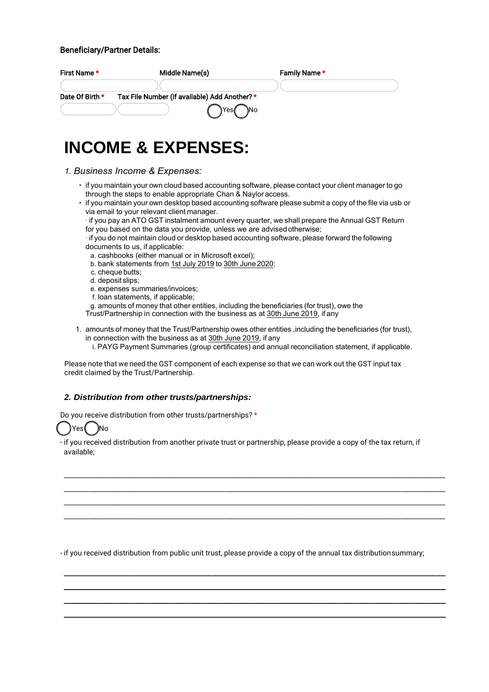#### Beneficiary/Partner Details:

| First Name*     | Middle Name(s)                               | Family Name* |  |
|-----------------|----------------------------------------------|--------------|--|
|                 |                                              |              |  |
| Date Of Birth * | Tax File Number (if available) Add Another?* |              |  |
|                 | `Yes <i>(</i><br>`]No                        |              |  |

## **INCOME & EXPENSES:**

- *1. Business Income & Expenses:*
	- if you maintain your own cloud based accounting software, please contact your client manager to go through the steps to enable appropriate Chan & Naylor access.
	- if you maintain your own desktop based accounting software please submit a copy of the file via usb or via email to your relevant client manager.

· if you pay an ATO GST instalment amount every quarter, we shall prepare the Annual GST Return for you based on the data you provide, unless we are advisedotherwise;

· if you do not maintain cloud or desktop based accounting software, please forward the following documents to us, if applicable:

- a. cashbooks (either manual or in Microsoft excel);
- b. bank statements from 1st July 2019 to 30th June 2020;
- c. cheque butts;
- d. deposit slips;
- e. expenses summaries/invoices;
- f. loan statements, if applicable;
- g. amounts of money that other entities, including the beneficiaries (for trust), owe the
- Trust/Partnership in connection with the business as at 30th June 2019, if any
- 1. amounts of money that the Trust/Partnership owes other entities ,including the beneficiaries (for trust), in connection with the business as at 30th June 2019, if any

i. PAYG Payment Summaries (group certificates) and annual reconciliation statement, if applicable.

Please note that we need the GST component of each expense so that we can work out the GST input tax credit claimed by the Trust/Partnership.

#### *2. Distribution from other trusts/partnerships:*

Do you receive distribution from other trusts/partnerships? \*



· if you received distribution from another private trust or partnership, please provide a copy of the tax return, if available;

\_\_\_\_\_\_\_\_\_\_\_\_\_\_\_\_\_\_\_\_\_\_\_\_\_\_\_\_\_\_\_\_\_\_\_\_\_\_\_\_\_\_\_\_\_\_\_\_\_\_\_\_\_\_\_\_\_\_\_\_\_\_\_\_\_\_\_\_\_\_\_\_\_\_\_\_\_\_\_\_\_\_\_\_\_\_\_\_\_\_\_\_\_\_\_\_\_\_\_\_\_\_\_\_\_\_\_\_\_\_\_\_\_\_\_\_\_\_\_\_\_ \_\_\_\_\_\_\_\_\_\_\_\_\_\_\_\_\_\_\_\_\_\_\_\_\_\_\_\_\_\_\_\_\_\_\_\_\_\_\_\_\_\_\_\_\_\_\_\_\_\_\_\_\_\_\_\_\_\_\_\_\_\_\_\_\_\_\_\_\_\_\_\_\_\_\_\_\_\_\_\_\_\_\_\_\_\_\_\_\_\_\_\_\_\_\_\_\_\_\_\_\_\_\_\_\_\_\_\_\_\_\_\_\_\_\_\_\_\_\_\_\_ \_\_\_\_\_\_\_\_\_\_\_\_\_\_\_\_\_\_\_\_\_\_\_\_\_\_\_\_\_\_\_\_\_\_\_\_\_\_\_\_\_\_\_\_\_\_\_\_\_\_\_\_\_\_\_\_\_\_\_\_\_\_\_\_\_\_\_\_\_\_\_\_\_\_\_\_\_\_\_\_\_\_\_\_\_\_\_\_\_\_\_\_\_\_\_\_\_\_\_\_\_\_\_\_\_\_\_\_\_\_\_\_\_\_\_\_\_\_\_\_\_ \_\_\_\_\_\_\_\_\_\_\_\_\_\_\_\_\_\_\_\_\_\_\_\_\_\_\_\_\_\_\_\_\_\_\_\_\_\_\_\_\_\_\_\_\_\_\_\_\_\_\_\_\_\_\_\_\_\_\_\_\_\_\_\_\_\_\_\_\_\_\_\_\_\_\_\_\_\_\_\_\_\_\_\_\_\_\_\_\_\_\_\_\_\_\_\_\_\_\_\_\_\_\_\_\_\_\_\_\_\_\_\_\_\_\_\_\_\_\_\_\_

· if you received distribution from public unit trust, please provide a copy of the annual tax distributionsummary;

\_\_\_\_\_\_\_\_\_\_\_\_\_\_\_\_\_\_\_\_\_\_\_\_\_\_\_\_\_\_\_\_\_\_\_\_\_\_\_\_\_\_\_\_\_\_\_\_\_\_\_\_\_\_\_\_\_\_\_\_\_\_\_\_\_\_\_\_\_\_\_\_\_\_\_\_\_\_\_\_\_\_\_\_\_\_\_\_\_\_\_\_\_\_\_\_\_\_\_\_\_\_\_\_\_\_\_\_\_\_\_\_\_\_\_\_\_\_\_\_\_ \_\_\_\_\_\_\_\_\_\_\_\_\_\_\_\_\_\_\_\_\_\_\_\_\_\_\_\_\_\_\_\_\_\_\_\_\_\_\_\_\_\_\_\_\_\_\_\_\_\_\_\_\_\_\_\_\_\_\_\_\_\_\_\_\_\_\_\_\_\_\_\_\_\_\_\_\_\_\_\_\_\_\_\_\_\_\_\_\_\_\_\_\_\_\_\_\_\_\_\_\_\_\_\_\_\_\_\_\_\_\_\_\_\_\_\_\_\_\_\_\_ \_\_\_\_\_\_\_\_\_\_\_\_\_\_\_\_\_\_\_\_\_\_\_\_\_\_\_\_\_\_\_\_\_\_\_\_\_\_\_\_\_\_\_\_\_\_\_\_\_\_\_\_\_\_\_\_\_\_\_\_\_\_\_\_\_\_\_\_\_\_\_\_\_\_\_\_\_\_\_\_\_\_\_\_\_\_\_\_\_\_\_\_\_\_\_\_\_\_\_\_\_\_\_\_\_\_\_\_\_\_\_\_\_\_\_\_\_\_\_\_\_ \_\_\_\_\_\_\_\_\_\_\_\_\_\_\_\_\_\_\_\_\_\_\_\_\_\_\_\_\_\_\_\_\_\_\_\_\_\_\_\_\_\_\_\_\_\_\_\_\_\_\_\_\_\_\_\_\_\_\_\_\_\_\_\_\_\_\_\_\_\_\_\_\_\_\_\_\_\_\_\_\_\_\_\_\_\_\_\_\_\_\_\_\_\_\_\_\_\_\_\_\_\_\_\_\_\_\_\_\_\_\_\_\_\_\_\_\_\_\_\_\_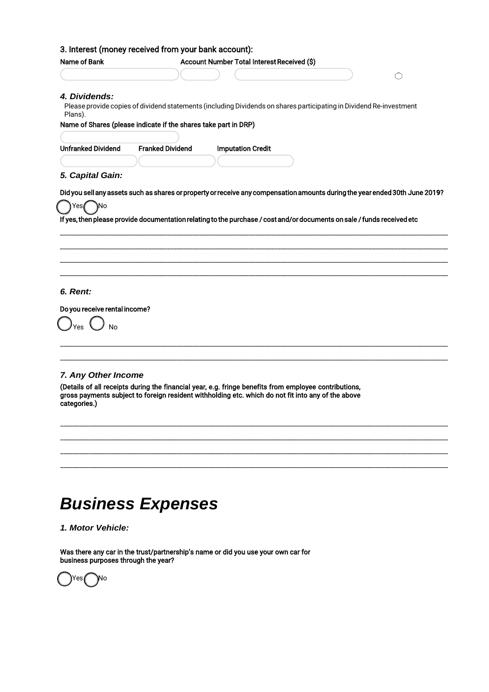| <b>Name of Bank</b>                       | Account Number Total Interest Received (\$)                                                                             |
|-------------------------------------------|-------------------------------------------------------------------------------------------------------------------------|
|                                           |                                                                                                                         |
| 4. Dividends:<br>Plans).                  | Please provide copies of dividend statements (including Dividends on shares participating in Dividend Re-investment     |
|                                           | Name of Shares (please indicate if the shares take part in DRP)                                                         |
|                                           |                                                                                                                         |
| <b>Unfranked Dividend</b>                 | <b>Franked Dividend</b><br><b>Imputation Credit</b>                                                                     |
|                                           |                                                                                                                         |
| 5. Capital Gain:                          |                                                                                                                         |
| ١N٥<br>Yes1                               |                                                                                                                         |
|                                           | If yes, then please provide documentation relating to the purchase / cost and/or documents on sale / funds received etc |
|                                           |                                                                                                                         |
| 6. Rent:<br>Do you receive rental income? |                                                                                                                         |
| Yes<br><b>No</b>                          |                                                                                                                         |
| 7. Any Other Income                       |                                                                                                                         |

\_\_\_\_\_\_\_\_\_\_\_\_\_\_\_\_\_\_\_\_\_\_\_\_\_\_\_\_\_\_\_\_\_\_\_\_\_\_\_\_\_\_\_\_\_\_\_\_\_\_\_\_\_\_\_\_\_\_\_\_\_\_\_\_\_\_\_\_\_\_\_\_\_\_\_\_\_\_\_\_\_\_\_\_\_\_\_\_\_\_\_\_\_\_\_\_\_\_\_\_\_\_\_\_\_\_\_

\_\_\_\_\_\_\_\_\_\_\_\_\_\_\_\_\_\_\_\_\_\_\_\_\_\_\_\_\_\_\_\_\_\_\_\_\_\_\_\_\_\_\_\_\_\_\_\_\_\_\_\_\_\_\_\_\_\_\_\_\_\_\_\_\_\_\_\_\_\_\_\_\_\_\_\_\_\_\_\_\_\_\_\_\_\_\_\_\_\_\_\_\_\_\_\_\_\_\_\_\_\_\_\_\_\_\_

\_\_\_\_\_\_\_\_\_\_\_\_\_\_\_\_\_\_\_\_\_\_\_\_\_\_\_\_\_\_\_\_\_\_\_\_\_\_\_\_\_\_\_\_\_\_\_\_\_\_\_\_\_\_\_\_\_\_\_\_\_\_\_\_\_\_\_\_\_\_\_\_\_\_\_\_\_\_\_\_\_\_\_\_\_\_\_\_\_\_\_\_\_\_\_\_\_\_\_\_\_\_\_\_\_\_\_\_\_\_\_\_\_\_\_\_\_

# *Business Expenses*

*1. Motor Vehicle:*

Was there any car in the trust/partnership's name or did you use your own car for business purposes through the year?

)Yes No

\_\_\_\_\_\_

\_\_\_\_\_\_\_\_\_\_\_\_\_\_\_\_

\_\_\_\_\_\_\_\_\_\_\_\_\_\_\_\_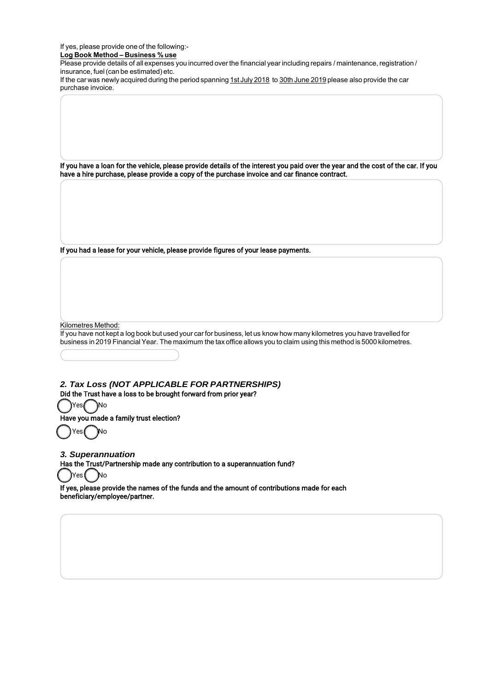If yes, please provide one of the following:-

**Log Book Method – Business % use**

Please provide details of all expenses you incurred over the financial year including repairs / maintenance, registration / insurance, fuel(can be estimated) etc.

If the car was newly acquired during the period spanning 1st July 2018 to 30th June 2019 please also provide the car purchase invoice.

If you have a loan for the vehicle, please provide details of the interest you paid over the year and the cost of the car. If you have a hire purchase, please provide a copy of the purchase invoice and car finance contract.

If you had a lease for your vehicle, please provide figures of your lease payments.

Kilometres Method:

If you have not kept a log book but used your car for business, let us know how many kilometres you have travelled for business in 2019 Financial Year. The maximum the tax office allows you to claim using this method is 5000 kilometres.

*2. Tax Loss (NOT APPLICABLE FOR PARTNERSHIPS)* Did the Trust have a loss to be brought forward from prior year?

Yes( No

Have you made a family trust election?

Yes No

*3. Superannuation*

Has the Trust/Partnership made any contribution to a superannuation fund?

lYes (No

If yes, please provide the names of the funds and the amount of contributions made for each beneficiary/employee/partner.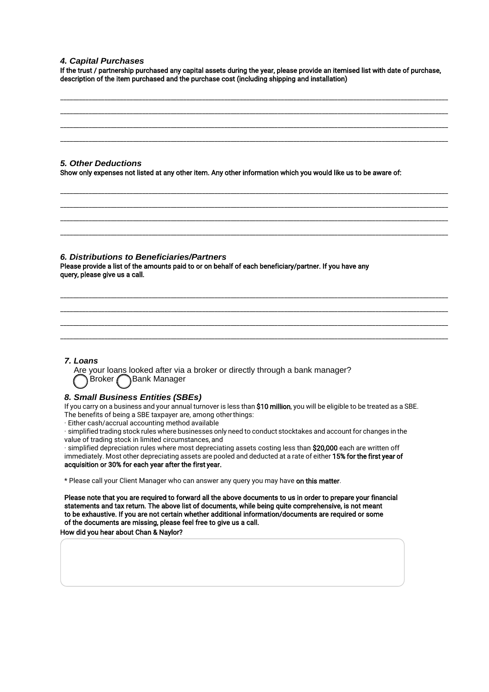#### *4. Capital Purchases*

If the trust / partnership purchased any capital assets during the year, please provide an itemised list with date of purchase, description of the item purchased and the purchase cost (including shipping and installation)

\_\_\_\_\_\_\_\_\_\_\_\_\_\_\_\_\_\_\_\_\_\_\_\_\_\_\_\_\_\_\_\_\_\_\_\_\_\_\_\_\_\_\_\_\_\_\_\_\_\_\_\_\_\_\_\_\_\_\_\_\_\_\_\_\_\_\_\_\_\_\_\_\_\_\_\_\_\_\_\_\_\_\_\_\_\_\_\_\_\_\_\_\_\_\_\_\_\_\_\_\_\_\_\_\_\_\_\_\_\_\_\_\_\_\_\_\_\_\_\_\_\_\_ \_\_\_\_\_\_\_\_\_\_\_\_\_\_\_\_\_\_\_\_\_\_\_\_\_\_\_\_\_\_\_\_\_\_\_\_\_\_\_\_\_\_\_\_\_\_\_\_\_\_\_\_\_\_\_\_\_\_\_\_\_\_\_\_\_\_\_\_\_\_\_\_\_\_\_\_\_\_\_\_\_\_\_\_\_\_\_\_\_\_\_\_\_\_\_\_\_\_\_\_\_\_\_\_\_\_\_\_\_\_\_\_\_\_\_\_\_\_\_\_\_\_\_ \_\_\_\_\_\_\_\_\_\_\_\_\_\_\_\_\_\_\_\_\_\_\_\_\_\_\_\_\_\_\_\_\_\_\_\_\_\_\_\_\_\_\_\_\_\_\_\_\_\_\_\_\_\_\_\_\_\_\_\_\_\_\_\_\_\_\_\_\_\_\_\_\_\_\_\_\_\_\_\_\_\_\_\_\_\_\_\_\_\_\_\_\_\_\_\_\_\_\_\_\_\_\_\_\_\_\_\_\_\_\_\_\_\_\_\_\_\_\_\_\_\_\_ \_\_\_\_\_\_\_\_\_\_\_\_\_\_\_\_\_\_\_\_\_\_\_\_\_\_\_\_\_\_\_\_\_\_\_\_\_\_\_\_\_\_\_\_\_\_\_\_\_\_\_\_\_\_\_\_\_\_\_\_\_\_\_\_\_\_\_\_\_\_\_\_\_\_\_\_\_\_\_\_\_\_\_\_\_\_\_\_\_\_\_\_\_\_\_\_\_\_\_\_\_\_\_\_\_\_\_\_\_\_\_\_\_\_\_\_\_\_\_\_\_\_\_

\_\_\_\_\_\_\_\_\_\_\_\_\_\_\_\_\_\_\_\_\_\_\_\_\_\_\_\_\_\_\_\_\_\_\_\_\_\_\_\_\_\_\_\_\_\_\_\_\_\_\_\_\_\_\_\_\_\_\_\_\_\_\_\_\_\_\_\_\_\_\_\_\_\_\_\_\_\_\_\_\_\_\_\_\_\_\_\_\_\_\_\_\_\_\_\_\_\_\_\_\_\_\_\_\_\_\_\_\_\_\_\_\_\_\_\_\_\_\_\_\_\_\_ \_\_\_\_\_\_\_\_\_\_\_\_\_\_\_\_\_\_\_\_\_\_\_\_\_\_\_\_\_\_\_\_\_\_\_\_\_\_\_\_\_\_\_\_\_\_\_\_\_\_\_\_\_\_\_\_\_\_\_\_\_\_\_\_\_\_\_\_\_\_\_\_\_\_\_\_\_\_\_\_\_\_\_\_\_\_\_\_\_\_\_\_\_\_\_\_\_\_\_\_\_\_\_\_\_\_\_\_\_\_\_\_\_\_\_\_\_\_\_\_\_\_\_ \_\_\_\_\_\_\_\_\_\_\_\_\_\_\_\_\_\_\_\_\_\_\_\_\_\_\_\_\_\_\_\_\_\_\_\_\_\_\_\_\_\_\_\_\_\_\_\_\_\_\_\_\_\_\_\_\_\_\_\_\_\_\_\_\_\_\_\_\_\_\_\_\_\_\_\_\_\_\_\_\_\_\_\_\_\_\_\_\_\_\_\_\_\_\_\_\_\_\_\_\_\_\_\_\_\_\_\_\_\_\_\_\_\_\_\_\_\_\_\_\_\_\_ \_\_\_\_\_\_\_\_\_\_\_\_\_\_\_\_\_\_\_\_\_\_\_\_\_\_\_\_\_\_\_\_\_\_\_\_\_\_\_\_\_\_\_\_\_\_\_\_\_\_\_\_\_\_\_\_\_\_\_\_\_\_\_\_\_\_\_\_\_\_\_\_\_\_\_\_\_\_\_\_\_\_\_\_\_\_\_\_\_\_\_\_\_\_\_\_\_\_\_\_\_\_\_\_\_\_\_\_\_\_\_\_\_\_\_\_\_\_\_\_\_\_\_

\_\_\_\_\_\_\_\_\_\_\_\_\_\_\_\_\_\_\_\_\_\_\_\_\_\_\_\_\_\_\_\_\_\_\_\_\_\_\_\_\_\_\_\_\_\_\_\_\_\_\_\_\_\_\_\_\_\_\_\_\_\_\_\_\_\_\_\_\_\_\_\_\_\_\_\_\_\_\_\_\_\_\_\_\_\_\_\_\_\_\_\_\_\_\_\_\_\_\_\_\_\_\_\_\_\_\_\_\_\_\_\_\_\_\_\_\_\_\_\_\_\_\_ \_\_\_\_\_\_\_\_\_\_\_\_\_\_\_\_\_\_\_\_\_\_\_\_\_\_\_\_\_\_\_\_\_\_\_\_\_\_\_\_\_\_\_\_\_\_\_\_\_\_\_\_\_\_\_\_\_\_\_\_\_\_\_\_\_\_\_\_\_\_\_\_\_\_\_\_\_\_\_\_\_\_\_\_\_\_\_\_\_\_\_\_\_\_\_\_\_\_\_\_\_\_\_\_\_\_\_\_\_\_\_\_\_\_\_\_\_\_\_\_\_\_\_ \_\_\_\_\_\_\_\_\_\_\_\_\_\_\_\_\_\_\_\_\_\_\_\_\_\_\_\_\_\_\_\_\_\_\_\_\_\_\_\_\_\_\_\_\_\_\_\_\_\_\_\_\_\_\_\_\_\_\_\_\_\_\_\_\_\_\_\_\_\_\_\_\_\_\_\_\_\_\_\_\_\_\_\_\_\_\_\_\_\_\_\_\_\_\_\_\_\_\_\_\_\_\_\_\_\_\_\_\_\_\_\_\_\_\_\_\_\_\_\_\_\_\_ \_\_\_\_\_\_\_\_\_\_\_\_\_\_\_\_\_\_\_\_\_\_\_\_\_\_\_\_\_\_\_\_\_\_\_\_\_\_\_\_\_\_\_\_\_\_\_\_\_\_\_\_\_\_\_\_\_\_\_\_\_\_\_\_\_\_\_\_\_\_\_\_\_\_\_\_\_\_\_\_\_\_\_\_\_\_\_\_\_\_\_\_\_\_\_\_\_\_\_\_\_\_\_\_\_\_\_\_\_\_\_\_\_\_\_\_\_\_\_\_\_\_\_

*5. Other Deductions*

Show only expenses not listed at any other item. Any other information which you would like us to be aware of:

#### *6. Distributions to Beneficiaries/Partners*

Please provide a list of the amounts paid to or on behalf of each beneficiary/partner. If you have any query, please give us a call.

#### *7. Loans*

Are your loans looked after via a broker or directly through a bank manager? Broker **Bank Manager** 

#### *8. Small Business Entities (SBEs)*

If you carry on a business and your annual turnover is less than \$10 million, you will be eligible to be treated as a SBE. The benefits of being a SBE taxpayer are, among otherthings:

· Either cash/accrual accounting method available

· simplified trading stock rules where businesses only need to conduct stocktakes and account for changes in the value of trading stock in limited circumstances, and

· simplified depreciation rules where most depreciating assets costing less than \$20,000 each are written off immediately. Most other depreciating assets are pooled and deducted at a rate of either 15% for the first year of acquisition or 30% for each year after the first year.

\* Please call your Client Manager who can answer any query you may have on this matter.

Please note that you are required to forward all the above documents to us in order to prepare your financial statements and tax return. The above list of documents, while being quite comprehensive, is not meant to be exhaustive. If you are not certain whether additional information/documents are required or some of the documents are missing, please feel free to give us a call.

How did you hear about Chan & Naylor?